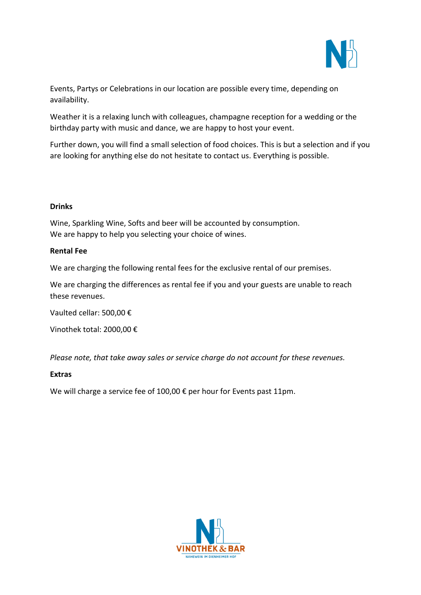

Events, Partys or Celebrations in our location are possible every time, depending on availability.

Weather it is a relaxing lunch with colleagues, champagne reception for a wedding or the birthday party with music and dance, we are happy to host your event.

Further down, you will find a small selection of food choices. This is but a selection and if you are looking for anything else do not hesitate to contact us. Everything is possible.

### **Drinks**

Wine, Sparkling Wine, Softs and beer will be accounted by consumption. We are happy to help you selecting your choice of wines.

### **Rental Fee**

We are charging the following rental fees for the exclusive rental of our premises.

We are charging the differences as rental fee if you and your guests are unable to reach these revenues.

Vaulted cellar: 500,00 €

Vinothek total: 2000,00 €

*Please note, that take away sales or service charge do not account for these revenues.*

#### **Extras**

We will charge a service fee of 100,00 € per hour for Events past 11pm.

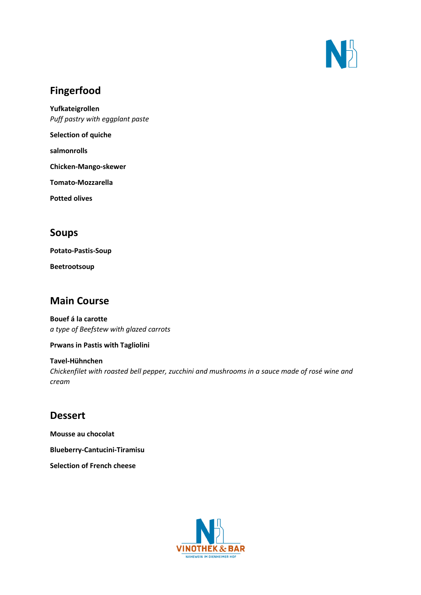

## **Fingerfood**

**Yufkateigrollen** *Puff pastry with eggplant paste*

**Selection of quiche**

**salmonrolls**

**Chicken-Mango-skewer**

**Tomato-Mozzarella**

**Potted olives**

### **Soups**

**Potato-Pastis-Soup**

**Beetrootsoup**

# **Main Course**

**Bouef á la carotte** *a type of Beefstew with glazed carrots*

**Prwans in Pastis with Tagliolini**

**Tavel-Hühnchen** *Chickenfilet with roasted bell pepper, zucchini and mushrooms in a sauce made of rosé wine and cream*

## **Dessert**

**Mousse au chocolat Blueberry-Cantucini-Tiramisu Selection of French cheese**

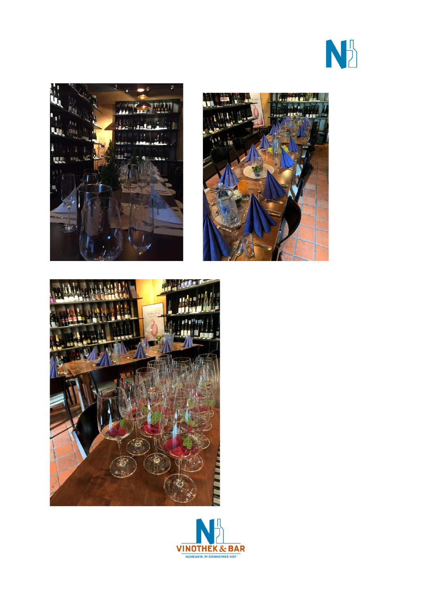







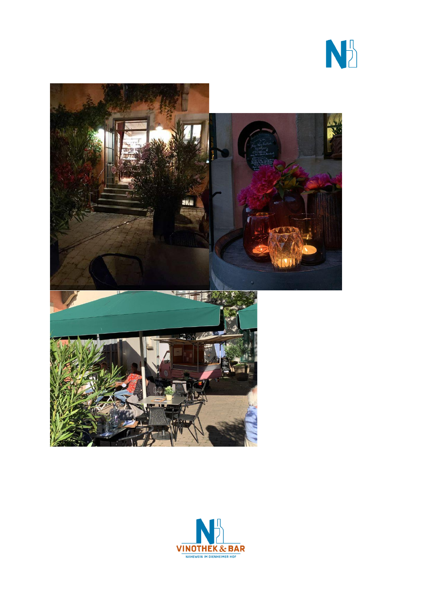